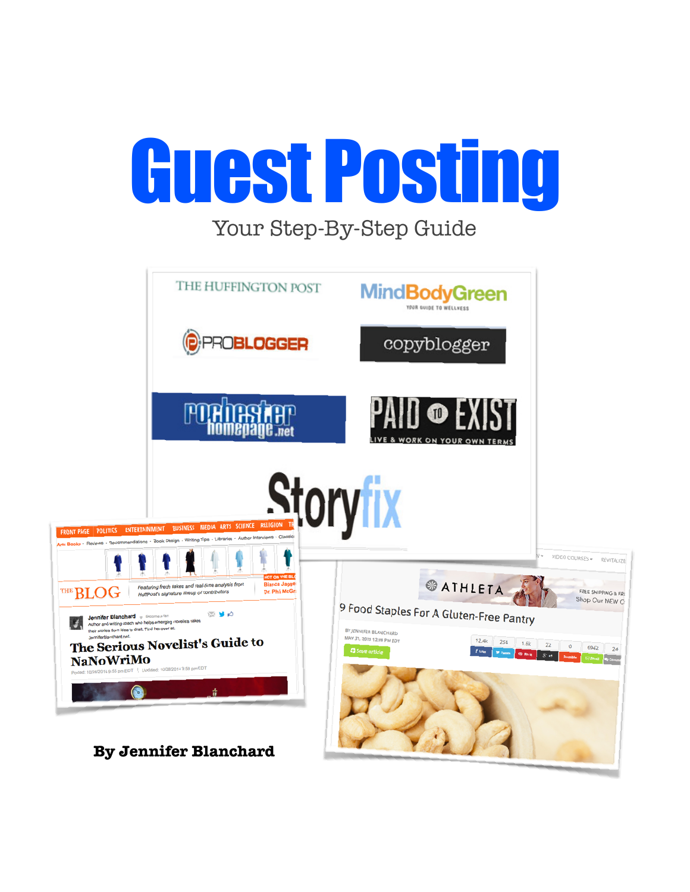

Your Step-By-Step Guide

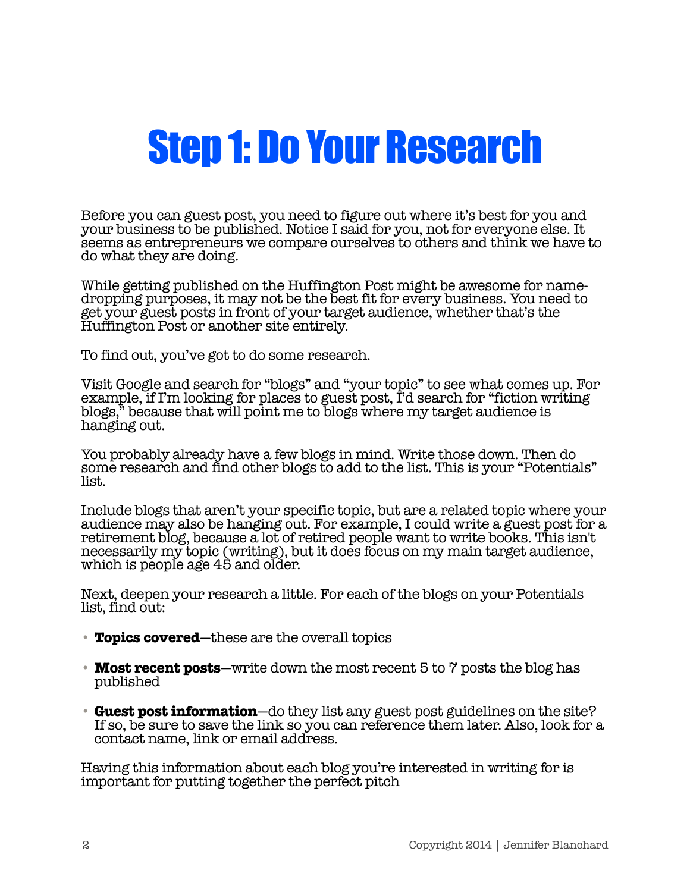#### Step 1: Do Your Research

Before you can guest post, you need to figure out where it's best for you and your business to be published. Notice I said for you, not for everyone else. It seems as entrepreneurs we compare ourselves to others and think we have to do what they are doing.

While getting published on the Huffington Post might be awesome for namedropping purposes, it may not be the best fit for every business. You need to get your guest posts in front of your target audience, whether that's the Huffington Post or another site entirely.

To find out, you've got to do some research.

Visit Google and search for "blogs" and "your topic" to see what comes up. For example, if I'm looking for places to guest post, I'd search for "fiction writing blogs," because that will point me to blogs where my target audience is hanging out.

You probably already have a few blogs in mind. Write those down. Then do some research and find other blogs to add to the list. This is your "Potentials" list.

Include blogs that aren't your specific topic, but are a related topic where your audience may also be hanging out. For example, I could write a guest post for a retirement blog, because a lot of retired people want to write books. This isn't necessarily my topic (writing), but it does focus on my main target audience, which is people age 45 and older.

Next, deepen your research a little. For each of the blogs on your Potentials list, find out:

- **Topics covered**—these are the overall topics
- **Most recent posts**—write down the most recent 5 to 7 posts the blog has published
- **Guest post information**—do they list any guest post guidelines on the site? If so, be sure to save the link so you can reference them later. Also, look for a contact name, link or email address.

Having this information about each blog you're interested in writing for is important for putting together the perfect pitch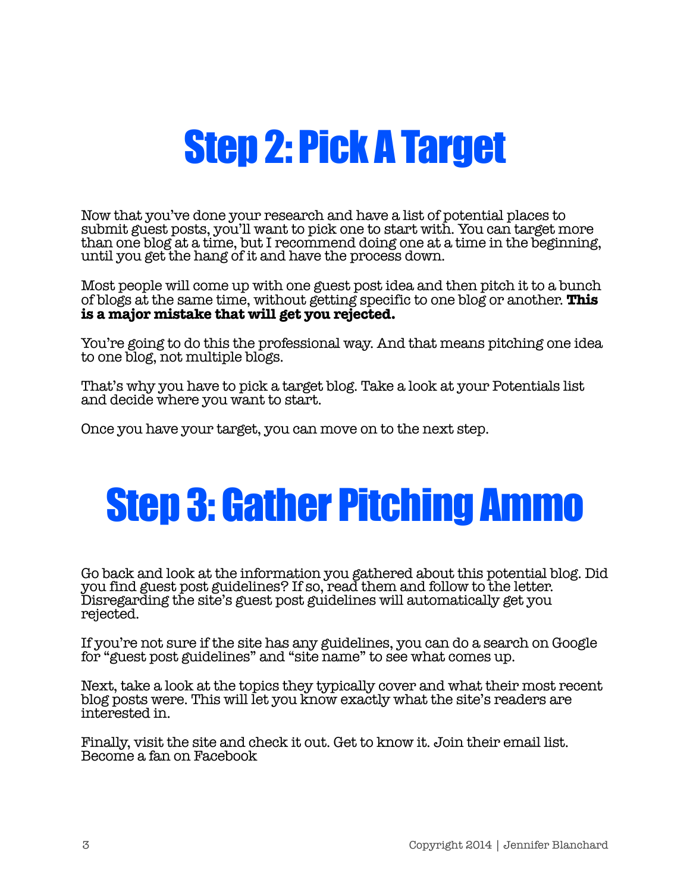### Step 2: Pick A Target

Now that you've done your research and have a list of potential places to submit guest posts, you'll want to pick one to start with. You can target more than one blog at a time, but I recommend doing one at a time in the beginning, until you get the hang of it and have the process down.

Most people will come up with one guest post idea and then pitch it to a bunch of blogs at the same time, without getting specific to one blog or another. **This is a major mistake that will get you rejected.**

You're going to do this the professional way. And that means pitching one idea to one blog, not multiple blogs.

That's why you have to pick a target blog. Take a look at your Potentials list and decide where you want to start.

Once you have your target, you can move on to the next step.

# Step 3: Gather Pitching Ammo

Go back and look at the information you gathered about this potential blog. Did you find guest post guidelines? If so, read them and follow to the letter. Disregarding the site's guest post guidelines will automatically get you rejected.

If you're not sure if the site has any guidelines, you can do a search on Google for "guest post guidelines" and "site name" to see what comes up.

Next, take a look at the topics they typically cover and what their most recent blog posts were. This will let you know exactly what the site's readers are interested in.

Finally, visit the site and check it out. Get to know it. Join their email list. Become a fan on Facebook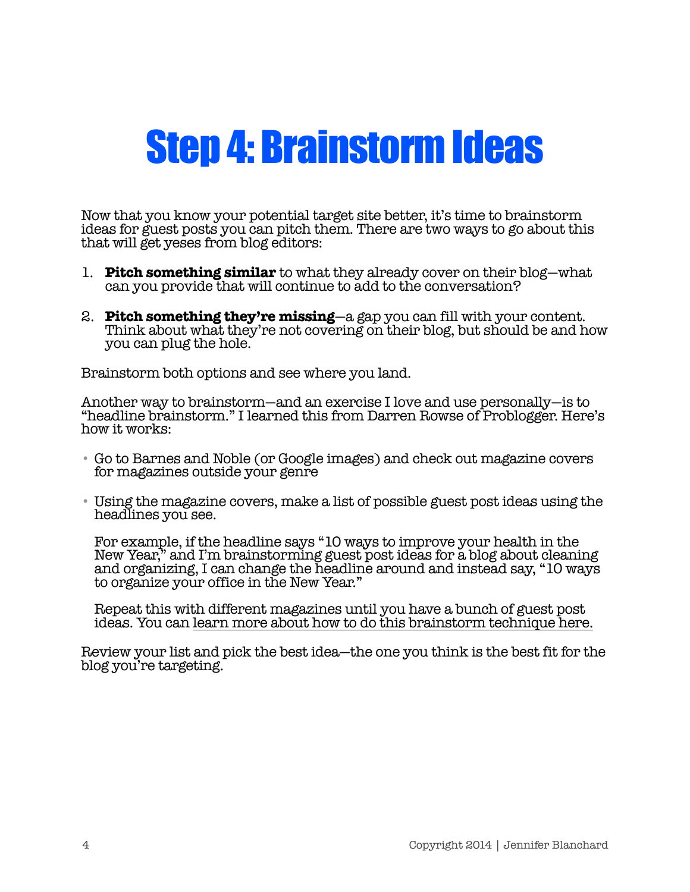#### Step 4: Brainstorm Ideas

Now that you know your potential target site better, it's time to brainstorm ideas for guest posts you can pitch them. There are two ways to go about this that will get yeses from blog editors:

- 1. **Pitch something similar** to what they already cover on their blog—what can you provide that will continue to add to the conversation?
- 2. **Pitch something they're missing**—a gap you can fill with your content. Think about what they're not covering on their blog, but should be and how you can plug the hole.

Brainstorm both options and see where you land.

Another way to brainstorm—and an exercise I love and use personally—is to "headline brainstorm." I learned this from Darren Rowse of Problogger. Here's how it works:

- Go to Barnes and Noble (or Google images) and check out magazine covers for magazines outside your genre
- Using the magazine covers, make a list of possible guest post ideas using the headlines you see.

For example, if the headline says "10 ways to improve your health in the New Year," and I'm brainstorming guest post ideas for a blog about cleaning and organizing, I can change the headline around and instead say, "10 ways to organize your office in the New Year."

Repeat this with different magazines until you have a bunch of guest post ideas. You can [learn more about how to do this brainstorm technique here.](http://jenniferblanchard.net/heres-a-guaranteed-way-to-generate-a-backlog-of-writing-ideas/)

Review your list and pick the best idea—the one you think is the best fit for the blog you're targeting.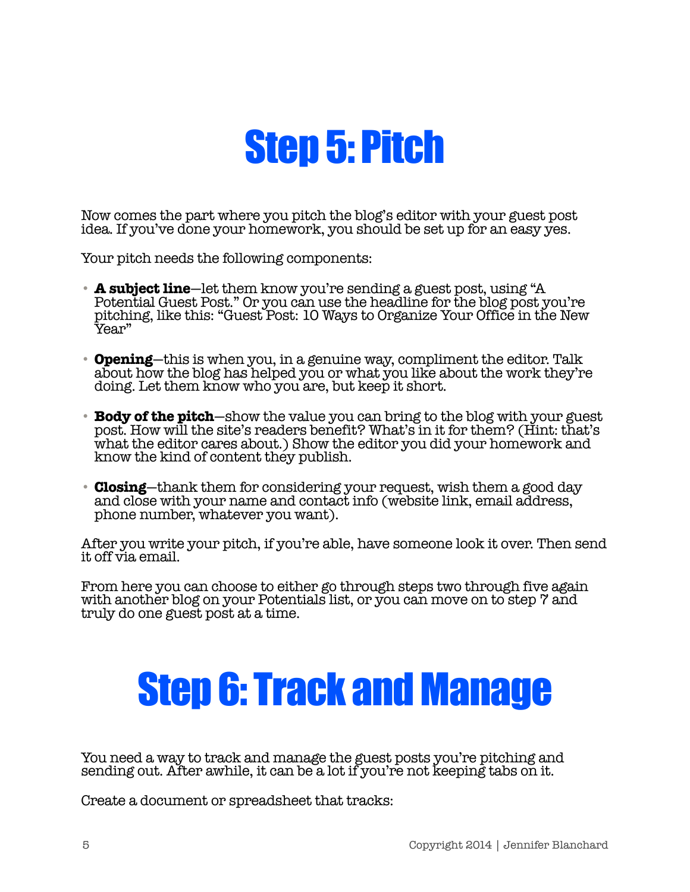### Step 5: Pitch

Now comes the part where you pitch the blog's editor with your guest post idea. If you've done your homework, you should be set up for an easy yes.

Your pitch needs the following components:

- **A subject line**—let them know you're sending a guest post, using "A Potential Guest Post." Or you can use the headline for the blog post you're pitching, like this: "Guest Post: 10 Ways to Organize Your Office in the New Year"
- **Opening**—this is when you, in a genuine way, compliment the editor. Talk about how the blog has helped you or what you like about the work they're doing. Let them know who you are, but keep it short.
- **Body of the pitch**—show the value you can bring to the blog with your guest post. How will the site's readers benefit? What's in it for them? (Hint: that's what the editor cares about.) Show the editor you did your homework and know the kind of content they publish.
- **Closing**—thank them for considering your request, wish them a good day and close with your name and contact info (website link, email address, phone number, whatever you want).

After you write your pitch, if you're able, have someone look it over. Then send it off via email.

From here you can choose to either go through steps two through five again with another blog on your Potentials list, or you can move on to step 7 and truly do one guest post at a time.

### Step 6: Track and Manage

You need a way to track and manage the guest posts you're pitching and sending out. After awhile, it can be a lot if you're not keeping tabs on it.

Create a document or spreadsheet that tracks: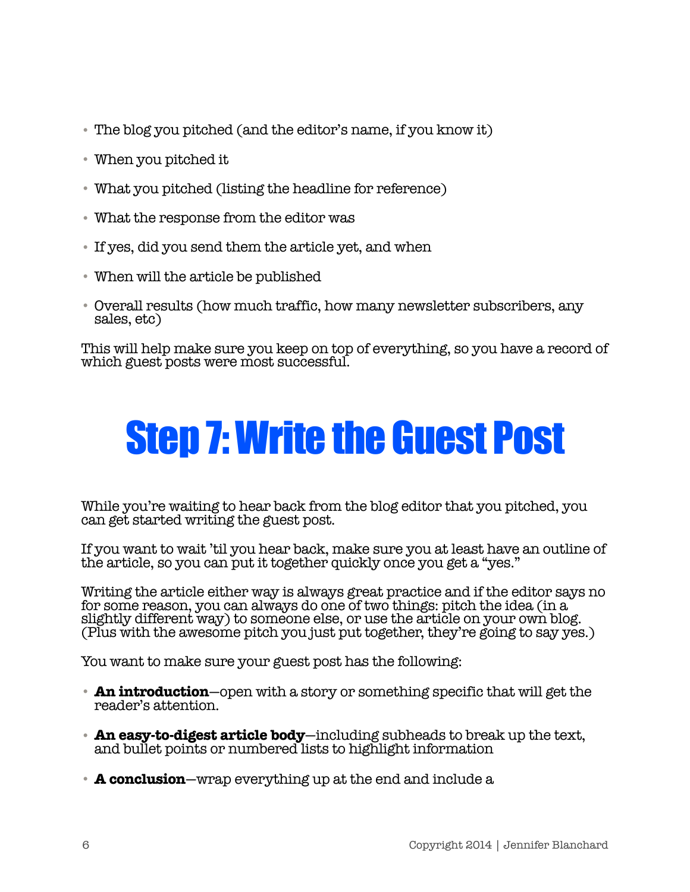- The blog you pitched (and the editor's name, if you know it)
- When you pitched it
- What you pitched (listing the headline for reference)
- What the response from the editor was
- If yes, did you send them the article yet, and when
- When will the article be published
- Overall results (how much traffic, how many newsletter subscribers, any sales, etc)

This will help make sure you keep on top of everything, so you have a record of which guest posts were most successful.

# Step 7: Write the Guest Post

While you're waiting to hear back from the blog editor that you pitched, you can get started writing the guest post.

If you want to wait 'til you hear back, make sure you at least have an outline of the article, so you can put it together quickly once you get a "yes."

Writing the article either way is always great practice and if the editor says no for some reason, you can always do one of two things: pitch the idea (in a slightly different way) to someone else, or use the article on your own blog. (Plus with the awesome pitch you just put together, they're going to say yes.)

You want to make sure your guest post has the following:

- **An introduction**—open with a story or something specific that will get the reader's attention.
- **An easy-to-digest article body**—including subheads to break up the text, and bullet points or numbered lists to highlight information
- **A conclusion**—wrap everything up at the end and include a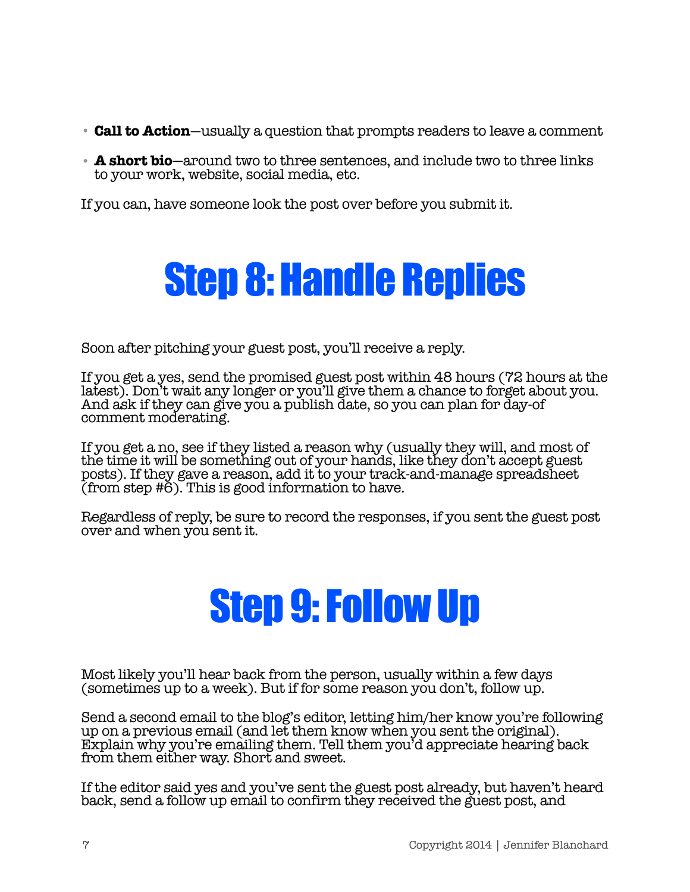- **Call to Action**—usually a question that prompts readers to leave a comment
- **A short bio**—around two to three sentences, and include two to three links to your work, website, social media, etc.

If you can, have someone look the post over before you submit it.

### Step 8: Handle Replies

Soon after pitching your guest post, you'll receive a reply.

If you get a yes, send the promised guest post within 48 hours (72 hours at the latest). Don't wait any longer or you'll give them a chance to forget about you. And ask if they can give you a publish date, so you can plan for day-of comment moderating.

If you get a no, see if they listed a reason why (usually they will, and most of the time it will be something out of your hands, like they don't accept guest posts). If they gave a reason, add it to your track-and-manage spreadsheet (from step  $\sharp 6$ ). This is good information to have.

Regardless of reply, be sure to record the responses, if you sent the guest post over and when you sent it.

# Step 9: Follow Up

Most likely you'll hear back from the person, usually within a few days (sometimes up to a week). But if for some reason you don't, follow up.

Send a second email to the blog's editor, letting him/her know you're following up on a previous email (and let them know when you sent the original). Explain why you're emailing them. Tell them you'd appreciate hearing back from them either way. Short and sweet.

If the editor said yes and you've sent the guest post already, but haven't heard back, send a follow up email to confirm they received the guest post, and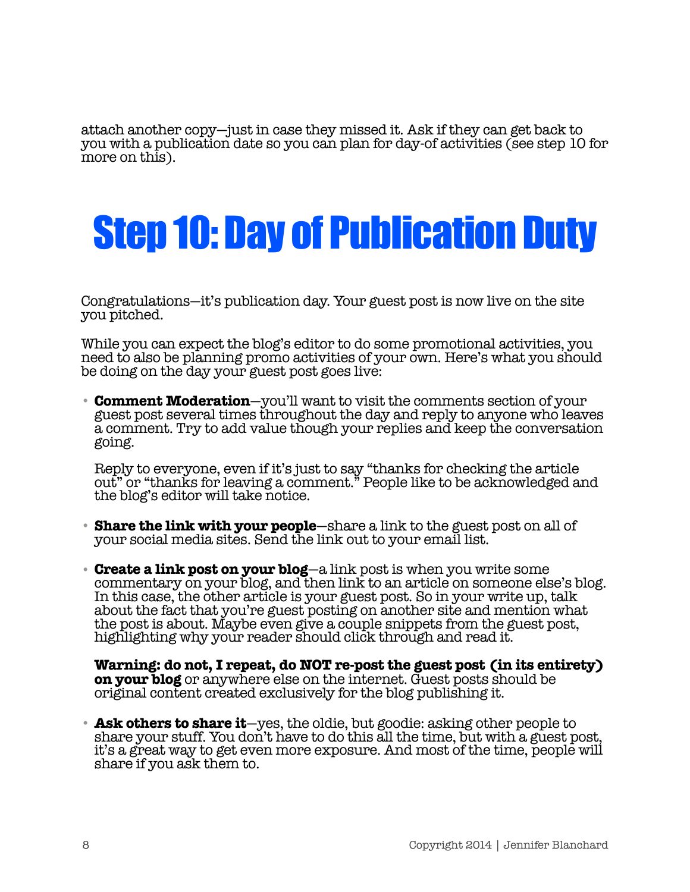attach another copy—just in case they missed it. Ask if they can get back to you with a publication date so you can plan for day-of activities (see step 10 for more on this).

## Step 10: Day of Publication Duty

Congratulations—it's publication day. Your guest post is now live on the site you pitched.

While you can expect the blog's editor to do some promotional activities, you need to also be planning promo activities of your own. Here's what you should be doing on the day your guest post goes live:

• **Comment Moderation**—you'll want to visit the comments section of your guest post several times throughout the day and reply to anyone who leaves a comment. Try to add value though your replies and keep the conversation going.

Reply to everyone, even if it's just to say "thanks for checking the article out" or "thanks for leaving a comment." People like to be acknowledged and the blog's editor will take notice.

- **Share the link with your people**—share a link to the guest post on all of your social media sites. Send the link out to your email list.
- **Create a link post on your blog**—a link post is when you write some commentary on your blog, and then link to an article on someone else's blog. In this case, the other article is your guest post. So in your write up, talk about the fact that you're guest posting on another site and mention what the post is about. Maybe even give a couple snippets from the guest post, highlighting why your reader should click through and read it.

**Warning: do not, I repeat, do NOT re-post the guest post (in its entirety) on your blog** or anywhere else on the internet. Guest posts should be original content created exclusively for the blog publishing it.

• **Ask others to share it**—yes, the oldie, but goodie: asking other people to share your stuff. You don't have to do this all the time, but with a guest post, it's a great way to get even more exposure. And most of the time, people will share if you ask them to.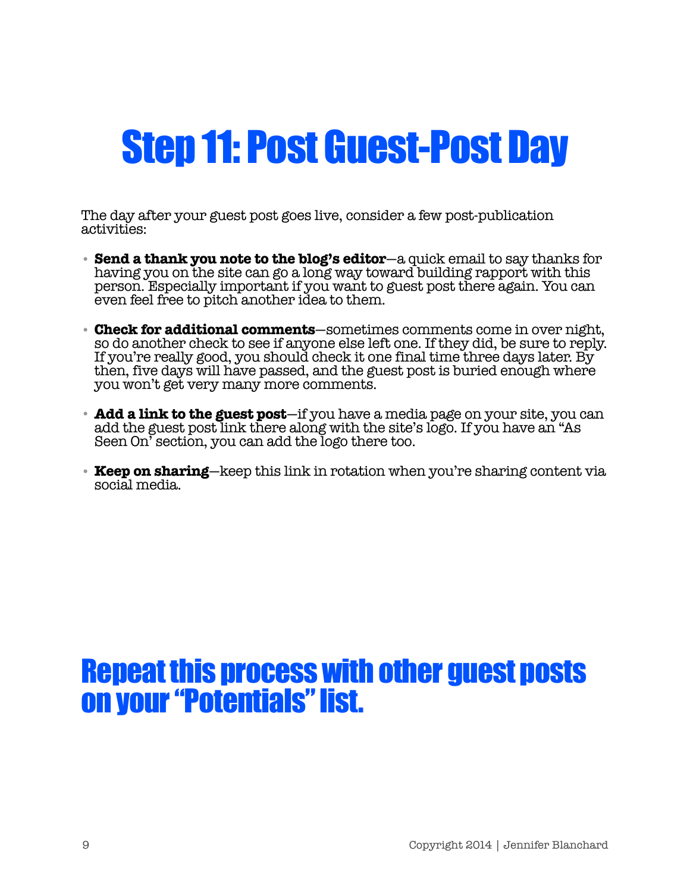### Step 11: Post Guest-Post Day

The day after your guest post goes live, consider a few post-publication activities:

- **Send a thank you note to the blog's editor**—a quick email to say thanks for having you on the site can go a long way toward building rapport with this person. Especially important if you want to guest post there again. You can even feel free to pitch another idea to them.
- **Check for additional comments**—sometimes comments come in over night, so do another check to see if anyone else left one. If they did, be sure to reply. If you're really good, you should check it one final time three days later. By then, five days will have passed, and the guest post is buried enough where you won't get very many more comments.
- **Add a link to the guest post**—if you have a media page on your site, you can add the guest post link there along with the site's logo. If you have an "As Seen On' section, you can add the logo there too.
- **Keep on sharing**—keep this link in rotation when you're sharing content via social media.

#### Repeat this process with other guest posts on your "Potentials" list.